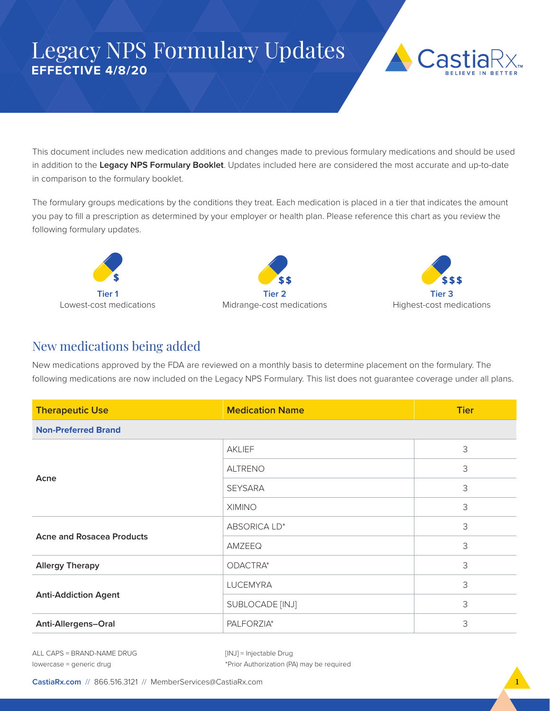## Legacy NPS Formulary Updates **EFFECTIVE 4/8/20**



This document includes new medication additions and changes made to previous formulary medications and should be used in addition to the **Legacy NPS Formulary Booklet**. Updates included here are considered the most accurate and up-to-date in comparison to the formulary booklet.

The formulary groups medications by the conditions they treat. Each medication is placed in a tier that indicates the amount you pay to fill a prescription as determined by your employer or health plan. Please reference this chart as you review the following formulary updates.







## New medications being added

New medications approved by the FDA are reviewed on a monthly basis to determine placement on the formulary. The following medications are now included on the Legacy NPS Formulary. This list does not guarantee coverage under all plans.

| <b>Therapeutic Use</b>           | <b>Medication Name</b> | <b>Tier</b> |
|----------------------------------|------------------------|-------------|
| <b>Non-Preferred Brand</b>       |                        |             |
| Acne                             | AKLIEF                 | 3           |
|                                  | <b>ALTRENO</b>         | 3           |
|                                  | <b>SEYSARA</b>         | 3           |
|                                  | <b>XIMINO</b>          | 3           |
| <b>Acne and Rosacea Products</b> | ABSORICA LD*           | 3           |
|                                  | AMZEEQ                 | 3           |
| <b>Allergy Therapy</b>           | ODACTRA*               | 3           |
| <b>Anti-Addiction Agent</b>      | <b>LUCEMYRA</b>        | 3           |
|                                  | SUBLOCADE [INJ]        | 3           |
| Anti-Allergens-Oral              | PALFORZIA*             | 3           |

ALL CAPS = BRAND-NAME DRUG lowercase = generic drug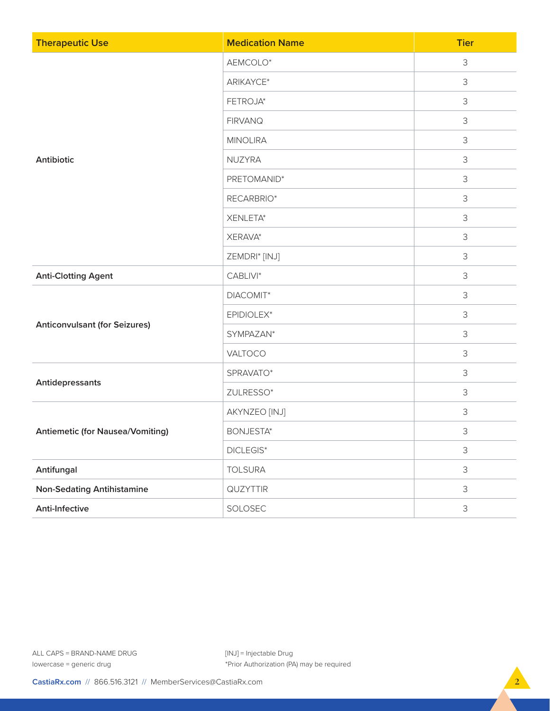| <b>Therapeutic Use</b>                  | <b>Medication Name</b> | <b>Tier</b>    |
|-----------------------------------------|------------------------|----------------|
|                                         | AEMCOLO*               | 3              |
|                                         | ARIKAYCE*              | 3              |
|                                         | FETROJA*               | 3              |
|                                         | <b>FIRVANQ</b>         | 3              |
|                                         | <b>MINOLIRA</b>        | $\mathsf 3$    |
| Antibiotic                              | NUZYRA                 | 3              |
|                                         | PRETOMANID*            | 3              |
|                                         | RECARBRIO*             | 3              |
|                                         | XENLETA*               | 3              |
|                                         | XERAVA*                | $\mathsf 3$    |
|                                         | ZEMDRI* [INJ]          | 3              |
| <b>Anti-Clotting Agent</b>              | CABLIVI*               | 3              |
|                                         | DIACOMIT*              | 3              |
| <b>Anticonvulsant (for Seizures)</b>    | EPIDIOLEX*             | 3              |
|                                         | SYMPAZAN*              | $\mathsf 3$    |
|                                         | VALTOCO                | 3              |
| Antidepressants                         | SPRAVATO*              | 3              |
|                                         | ZULRESSO*              | 3              |
|                                         | AKYNZEO [INJ]          | $\mathsf 3$    |
| <b>Antiemetic (for Nausea/Vomiting)</b> | <b>BONJESTA*</b>       | $\mathsf 3$    |
|                                         | $DICLEGIS^*$           | 3              |
| Antifungal                              | <b>TOLSURA</b>         | 3              |
| <b>Non-Sedating Antihistamine</b>       | QUZYTTIR               | 3              |
| Anti-Infective                          | SOLOSEC                | $\mathfrak{Z}$ |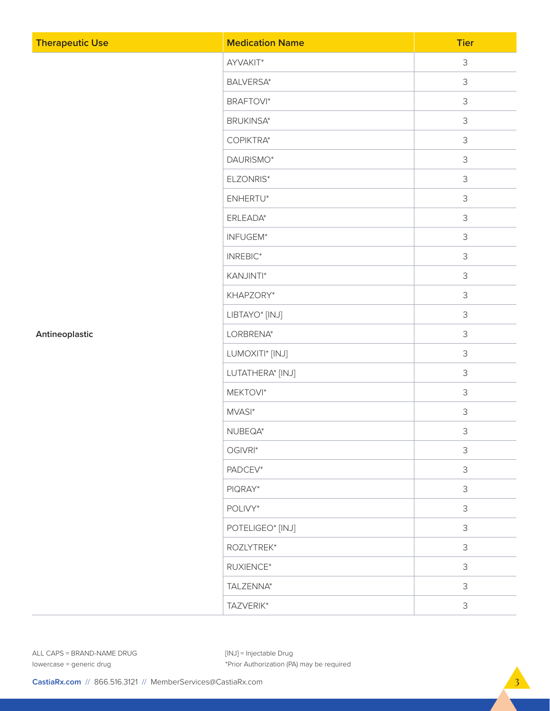| <b>Therapeutic Use</b> | <b>Medication Name</b> | <b>Tier</b> |
|------------------------|------------------------|-------------|
|                        | AYVAKIT*               | $\mathsf 3$ |
|                        | <b>BALVERSA*</b>       | $\mathsf 3$ |
|                        | <b>BRAFTOVI*</b>       | 3           |
|                        | <b>BRUKINSA*</b>       | 3           |
|                        | COPIKTRA*              | 3           |
|                        | DAURISMO*              | 3           |
|                        | ELZONRIS*              | 3           |
|                        | ENHERTU*               | 3           |
|                        | ERLEADA*               | 3           |
|                        | INFUGEM*               | 3           |
|                        | INREBIC*               | 3           |
|                        | KANJINTI*              | 3           |
|                        | KHAPZORY*              | 3           |
|                        | LIBTAYO* [INJ]         | 3           |
| Antineoplastic         | LORBRENA*              | 3           |
|                        | LUMOXITI* [INJ]        | 3           |
|                        | LUTATHERA* [INJ]       | 3           |
|                        | MEKTOVI*               | 3           |
|                        | MVASI*                 | 3           |
|                        | NUBEQA*                | 3           |
|                        | OGIVRI*                | 3           |
|                        | PADCEV*                | 3           |
|                        | PIQRAY*                | 3           |
|                        | POLIVY*                | 3           |
|                        | POTELIGEO* [INJ]       | 3           |
|                        | ROZLYTREK*             | 3           |
|                        | RUXIENCE*              | 3           |
|                        | TALZENNA*              | 3           |
|                        | TAZVERIK*              | $\mathsf S$ |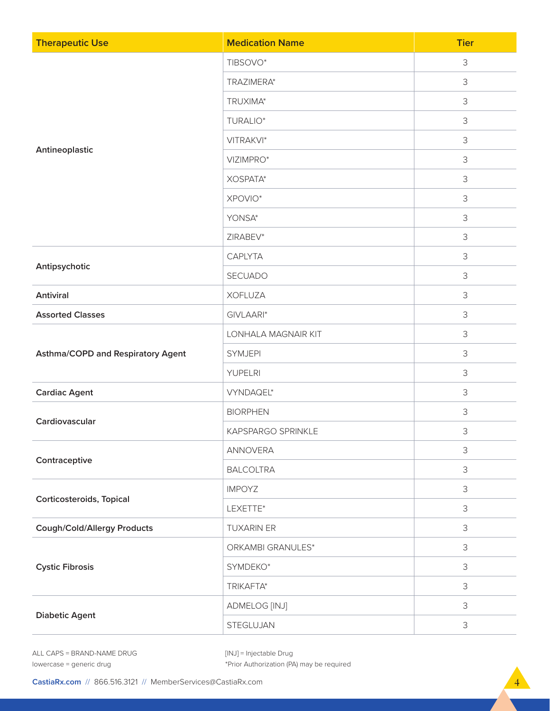| <b>Therapeutic Use</b>            | <b>Medication Name</b> | <b>Tier</b> |
|-----------------------------------|------------------------|-------------|
|                                   | TIBSOVO*               | 3           |
|                                   | TRAZIMERA*             | 3           |
|                                   | TRUXIMA*               | 3           |
|                                   | TURALIO*               | $\mathsf 3$ |
|                                   | VITRAKVI*              | $\mathsf 3$ |
| Antineoplastic                    | VIZIMPRO*              | 3           |
|                                   | XOSPATA*               | $\mathsf 3$ |
|                                   | XPOVIO*                | 3           |
|                                   | YONSA*                 | $\mathsf 3$ |
|                                   | ZIRABEV*               | $\mathsf 3$ |
|                                   | CAPLYTA                | 3           |
| Antipsychotic                     | SECUADO                | $\mathsf 3$ |
| Antiviral                         | <b>XOFLUZA</b>         | 3           |
| <b>Assorted Classes</b>           | GIVLAARI*              | $\mathsf 3$ |
|                                   | LONHALA MAGNAIR KIT    | $\mathsf 3$ |
| Asthma/COPD and Respiratory Agent | <b>SYMJEPI</b>         | 3           |
|                                   | <b>YUPELRI</b>         | $\mathsf 3$ |
| <b>Cardiac Agent</b>              | VYNDAQEL*              | 3           |
| Cardiovascular                    | <b>BIORPHEN</b>        | $\mathsf 3$ |
|                                   | KAPSPARGO SPRINKLE     | $\mathsf 3$ |
|                                   | ANNOVERA               | 3           |
| Contraceptive                     | <b>BALCOLTRA</b>       | 3           |
|                                   | <b>IMPOYZ</b>          | 3           |
| Corticosteroids, Topical          | LEXETTE*               | 3           |
| Cough/Cold/Allergy Products       | TUXARIN ER             | $\mathsf 3$ |
|                                   | ORKAMBI GRANULES*      | 3           |
| <b>Cystic Fibrosis</b>            | SYMDEKO*               | 3           |
|                                   | TRIKAFTA*              | 3           |
| <b>Diabetic Agent</b>             | ADMELOG [INJ]          | 3           |
|                                   | STEGLUJAN              | $\mathsf 3$ |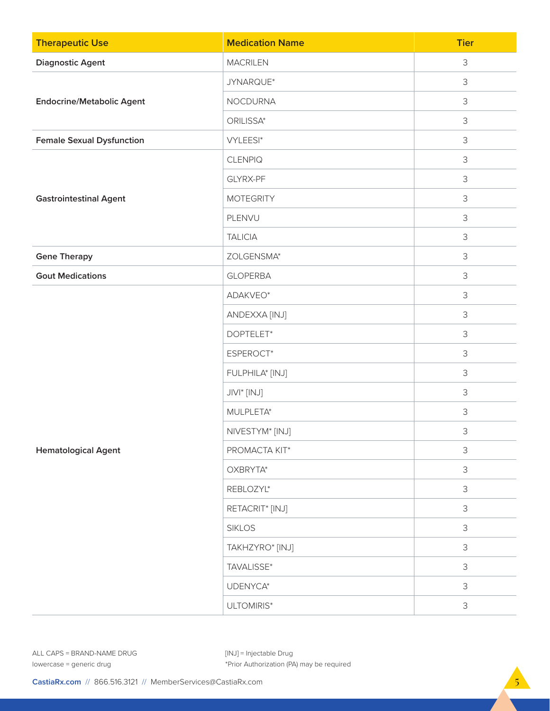| <b>Therapeutic Use</b>           | <b>Medication Name</b>      | <b>Tier</b>    |
|----------------------------------|-----------------------------|----------------|
| <b>Diagnostic Agent</b>          | <b>MACRILEN</b>             | 3              |
|                                  | JYNARQUE*                   | 3              |
| <b>Endocrine/Metabolic Agent</b> | <b>NOCDURNA</b>             | 3              |
|                                  | ORILISSA*                   | $\mathsf 3$    |
| <b>Female Sexual Dysfunction</b> | VYLEESI*                    | $\mathsf 3$    |
|                                  | <b>CLENPIQ</b>              | 3              |
|                                  | GLYRX-PF                    | 3              |
| <b>Gastrointestinal Agent</b>    | <b>MOTEGRITY</b>            | $\mathfrak{Z}$ |
|                                  | PLENVU                      | 3              |
|                                  | <b>TALICIA</b>              | 3              |
| <b>Gene Therapy</b>              | ZOLGENSMA*                  | 3              |
| <b>Gout Medications</b>          | <b>GLOPERBA</b>             | 3              |
|                                  | ADAKVEO*                    | $\mathsf 3$    |
|                                  | ANDEXXA [INJ]               | 3              |
|                                  | DOPTELET*                   | 3              |
|                                  | ESPEROCT*                   | $\mathsf 3$    |
|                                  | FULPHILA* [INJ]             | 3              |
|                                  | JIVI* [INJ]                 | $\mathfrak{Z}$ |
|                                  | MULPLETA*                   | $\mathsf 3$    |
|                                  | NIVESTYM* [INJ]             | $\mathsf 3$    |
| <b>Hematological Agent</b>       | PROMACTA KIT*               | $\mathsf 3$    |
|                                  | OXBRYTA*                    | $\mathsf 3$    |
|                                  | REBLOZYL*                   | 3              |
|                                  | RETACRIT <sup>*</sup> [INJ] | $\mathsf 3$    |
|                                  | <b>SIKLOS</b>               | $\mathsf 3$    |
|                                  | TAKHZYRO* [INJ]             | 3              |
|                                  | TAVALISSE*                  | $\mathsf 3$    |
|                                  | UDENYCA*                    | $\mathsf 3$    |
|                                  | ULTOMIRIS*                  | $\mathsf 3$    |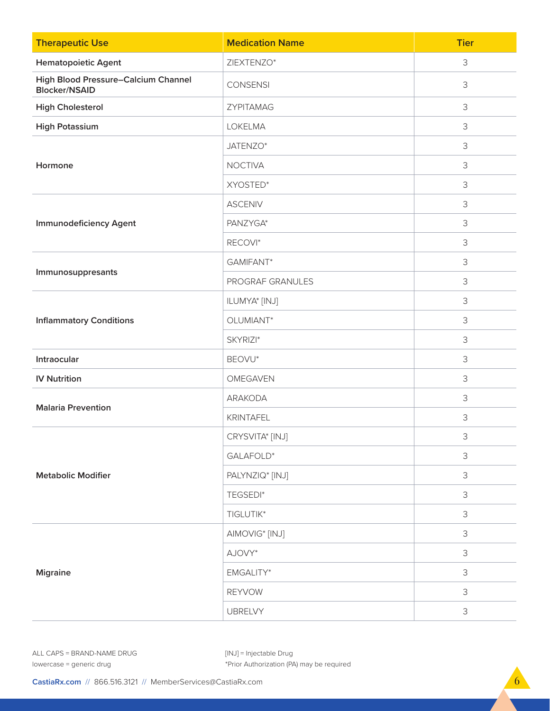| <b>Therapeutic Use</b>                                             | <b>Medication Name</b>     | <b>Tier</b> |
|--------------------------------------------------------------------|----------------------------|-------------|
| <b>Hematopoietic Agent</b>                                         | ZIEXTENZO*                 | 3           |
| <b>High Blood Pressure-Calcium Channel</b><br><b>Blocker/NSAID</b> | <b>CONSENSI</b>            | 3           |
| <b>High Cholesterol</b>                                            | ZYPITAMAG                  | 3           |
| <b>High Potassium</b>                                              | LOKELMA                    | 3           |
|                                                                    | JATENZO*                   | 3           |
| Hormone                                                            | <b>NOCTIVA</b>             | 3           |
|                                                                    | XYOSTED*                   | 3           |
|                                                                    | <b>ASCENIV</b>             | 3           |
| <b>Immunodeficiency Agent</b>                                      | PANZYGA*                   | 3           |
|                                                                    | RECOVI*                    | 3           |
|                                                                    | GAMIFANT*                  | 3           |
| Immunosuppresants                                                  | PROGRAF GRANULES           | 3           |
|                                                                    | ILUMYA* [INJ]              | 3           |
| <b>Inflammatory Conditions</b>                                     | OLUMIANT*                  | 3           |
|                                                                    | SKYRIZI*                   | 3           |
| Intraocular                                                        | BEOVU*                     | 3           |
| <b>IV Nutrition</b>                                                | OMEGAVEN                   | 3           |
| <b>Malaria Prevention</b>                                          | ARAKODA                    | 3           |
|                                                                    | KRINTAFEL                  | 3           |
|                                                                    | CRYSVITA* [INJ]            | 3           |
|                                                                    | GALAFOLD*                  | $\mathsf 3$ |
| <b>Metabolic Modifier</b>                                          | PALYNZIQ* [INJ]            | 3           |
|                                                                    | TEGSEDI*                   | $\mathsf 3$ |
|                                                                    | TIGLUTIK*                  | 3           |
|                                                                    | AIMOVIG <sup>*</sup> [INJ] | $\mathsf 3$ |
| <b>Migraine</b>                                                    | AJOVY*                     | 3           |
|                                                                    | EMGALITY*                  | 3           |
|                                                                    | <b>REYVOW</b>              | $\mathsf 3$ |
|                                                                    | <b>UBRELVY</b>             | 3           |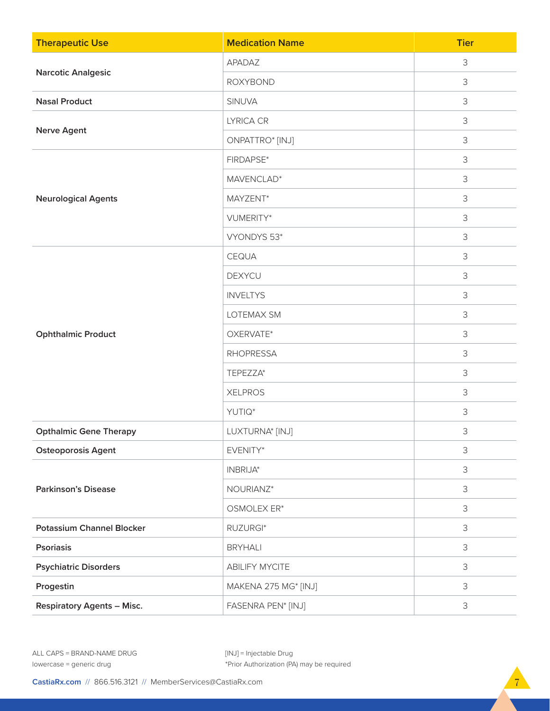| <b>Therapeutic Use</b>            | <b>Medication Name</b> | <b>Tier</b> |
|-----------------------------------|------------------------|-------------|
| <b>Narcotic Analgesic</b>         | APADAZ                 | 3           |
|                                   | <b>ROXYBOND</b>        | $\mathsf 3$ |
| <b>Nasal Product</b>              | SINUVA                 | $\mathsf 3$ |
|                                   | LYRICA CR              | 3           |
| <b>Nerve Agent</b>                | ONPATTRO* [INJ]        | 3           |
|                                   | FIRDAPSE*              | 3           |
|                                   | MAVENCLAD*             | $\mathsf 3$ |
| <b>Neurological Agents</b>        | MAYZENT*               | $\mathsf 3$ |
|                                   | VUMERITY*              | 3           |
|                                   | VYONDYS 53*            | 3           |
|                                   | CEQUA                  | 3           |
|                                   | <b>DEXYCU</b>          | 3           |
|                                   | <b>INVELTYS</b>        | $\mathsf 3$ |
|                                   | LOTEMAX SM             | $\mathsf 3$ |
| <b>Ophthalmic Product</b>         | OXERVATE*              | 3           |
|                                   | <b>RHOPRESSA</b>       | 3           |
|                                   | TEPEZZA*               | $\mathsf 3$ |
|                                   | <b>XELPROS</b>         | $\mathsf 3$ |
|                                   | YUTIQ*                 | $\mathsf 3$ |
| <b>Opthalmic Gene Therapy</b>     | LUXTURNA* [INJ]        | 3           |
| <b>Osteoporosis Agent</b>         | EVENITY*               | $\mathsf 3$ |
|                                   | INBRIJA*               | $\mathsf 3$ |
| <b>Parkinson's Disease</b>        | NOURIANZ*              | $\mathsf 3$ |
|                                   | OSMOLEX ER*            | $\mathsf 3$ |
| <b>Potassium Channel Blocker</b>  | RUZURGI*               | 3           |
| <b>Psoriasis</b>                  | <b>BRYHALI</b>         | 3           |
| <b>Psychiatric Disorders</b>      | <b>ABILIFY MYCITE</b>  | $\mathsf 3$ |
| Progestin                         | MAKENA 275 MG* [INJ]   | $\mathsf 3$ |
| <b>Respiratory Agents - Misc.</b> | FASENRA PEN* [INJ]     | $\mathsf 3$ |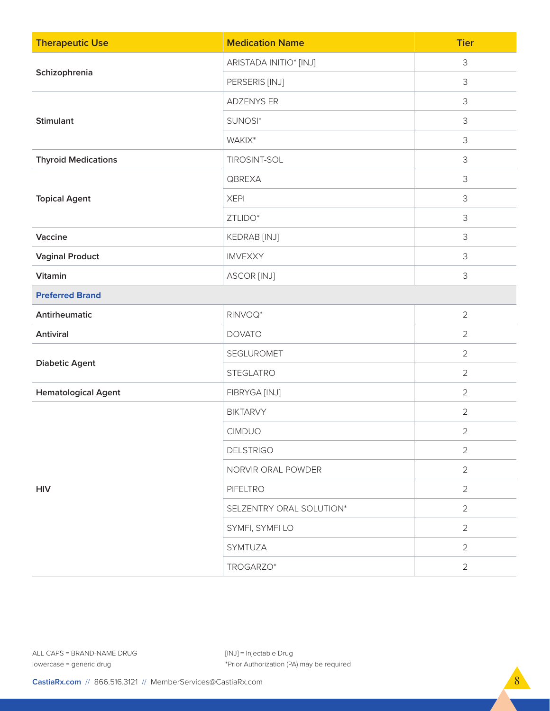| <b>Therapeutic Use</b>     | <b>Medication Name</b>   | <b>Tier</b>    |
|----------------------------|--------------------------|----------------|
|                            | ARISTADA INITIO* [INJ]   | $\mathsf 3$    |
| Schizophrenia              | PERSERIS [INJ]           | 3              |
|                            | <b>ADZENYS ER</b>        | 3              |
| <b>Stimulant</b>           | SUNOSI*                  | 3              |
|                            | WAKIX*                   | 3              |
| <b>Thyroid Medications</b> | TIROSINT-SOL             | $\mathsf 3$    |
|                            | QBREXA                   | 3              |
| <b>Topical Agent</b>       | <b>XEPI</b>              | 3              |
|                            | ZTLIDO*                  | 3              |
| Vaccine                    | KEDRAB [INJ]             | 3              |
| <b>Vaginal Product</b>     | IMVEXXY                  | $\mathsf 3$    |
| Vitamin                    | ASCOR [INJ]              | $\mathsf 3$    |
| <b>Preferred Brand</b>     |                          |                |
| Antirheumatic              | RINVOQ*                  | $\overline{2}$ |
| Antiviral                  | <b>DOVATO</b>            | $\overline{2}$ |
|                            | SEGLUROMET               | $\overline{2}$ |
| <b>Diabetic Agent</b>      | <b>STEGLATRO</b>         | $\overline{2}$ |
| <b>Hematological Agent</b> | FIBRYGA [INJ]            | $\overline{2}$ |
|                            | <b>BIKTARVY</b>          | $\overline{2}$ |
|                            | <b>CIMDUO</b>            | $\overline{2}$ |
|                            | <b>DELSTRIGO</b>         | $\overline{2}$ |
| <b>HIV</b>                 | NORVIR ORAL POWDER       | $\overline{2}$ |
|                            | PIFELTRO                 | $\overline{2}$ |
|                            | SELZENTRY ORAL SOLUTION* | $\overline{2}$ |
|                            | SYMFI, SYMFI LO          | $\overline{2}$ |
|                            | SYMTUZA                  | $\overline{2}$ |
|                            | TROGARZO*                | $\overline{2}$ |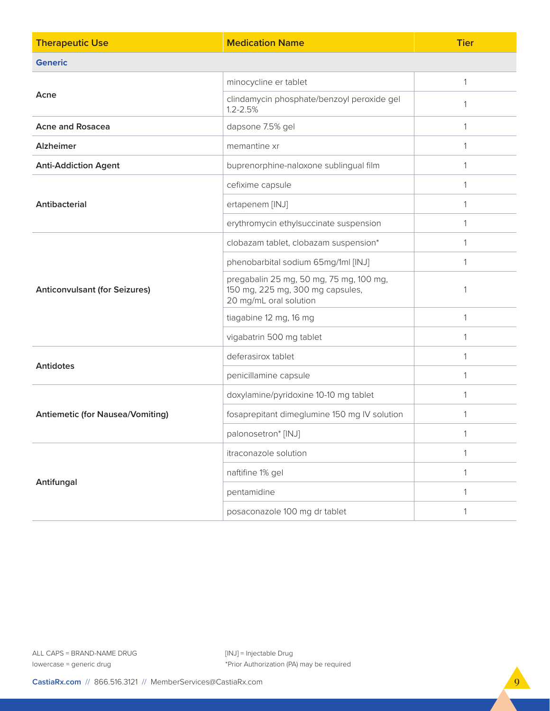| <b>Therapeutic Use</b>                  | <b>Medication Name</b>                                                                                | <b>Tier</b>  |
|-----------------------------------------|-------------------------------------------------------------------------------------------------------|--------------|
| <b>Generic</b>                          |                                                                                                       |              |
|                                         | minocycline er tablet                                                                                 | 1            |
| Acne                                    | clindamycin phosphate/benzoyl peroxide gel<br>$1.2 - 2.5%$                                            | 1            |
| <b>Acne and Rosacea</b>                 | dapsone 7.5% gel                                                                                      |              |
| <b>Alzheimer</b>                        | memantine xr                                                                                          | 1            |
| <b>Anti-Addiction Agent</b>             | buprenorphine-naloxone sublingual film                                                                | $\mathbf{1}$ |
|                                         | cefixime capsule                                                                                      | 1            |
| Antibacterial                           | ertapenem [INJ]                                                                                       | $\mathbf{1}$ |
|                                         | erythromycin ethylsuccinate suspension                                                                | 1            |
|                                         | clobazam tablet, clobazam suspension*                                                                 | 1            |
|                                         | phenobarbital sodium 65mg/1ml [INJ]                                                                   | 1            |
| <b>Anticonvulsant (for Seizures)</b>    | pregabalin 25 mg, 50 mg, 75 mg, 100 mg,<br>150 mg, 225 mg, 300 mg capsules,<br>20 mg/mL oral solution | $\mathbf{1}$ |
|                                         | tiagabine 12 mg, 16 mg                                                                                | 1            |
|                                         | vigabatrin 500 mg tablet                                                                              | $\mathbf{1}$ |
| <b>Antidotes</b>                        | deferasirox tablet                                                                                    | $\mathbf{1}$ |
|                                         | penicillamine capsule                                                                                 | 1            |
|                                         | doxylamine/pyridoxine 10-10 mg tablet                                                                 |              |
| <b>Antiemetic (for Nausea/Vomiting)</b> | fosaprepitant dimeglumine 150 mg IV solution                                                          | 1            |
|                                         | palonosetron* [INJ]                                                                                   | $\mathbf{1}$ |
|                                         | itraconazole solution                                                                                 | $\mathbf{1}$ |
|                                         | naftifine 1% gel                                                                                      | $\mathbf{1}$ |
| Antifungal                              | pentamidine                                                                                           | 1            |
|                                         | posaconazole 100 mg dr tablet                                                                         | 1            |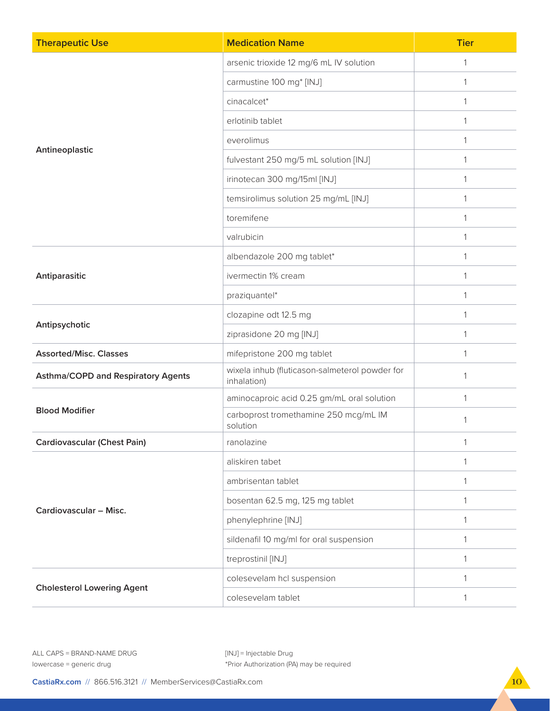| <b>Therapeutic Use</b>                    | <b>Medication Name</b>                                        | <b>Tier</b> |
|-------------------------------------------|---------------------------------------------------------------|-------------|
|                                           | arsenic trioxide 12 mg/6 mL IV solution                       | 1           |
|                                           | carmustine 100 mg* [INJ]                                      | 1           |
|                                           | cinacalcet*                                                   | 1           |
|                                           | erlotinib tablet                                              | 1           |
|                                           | everolimus                                                    | 1           |
| Antineoplastic                            | fulvestant 250 mg/5 mL solution [INJ]                         | 1           |
|                                           | irinotecan 300 mg/15ml [INJ]                                  | 1           |
|                                           | temsirolimus solution 25 mg/mL [INJ]                          | 1           |
|                                           | toremifene                                                    | 1           |
|                                           | valrubicin                                                    | 1           |
|                                           | albendazole 200 mg tablet*                                    | 1           |
| Antiparasitic                             | ivermectin 1% cream                                           | 1           |
|                                           | praziquantel*                                                 | 1           |
|                                           | clozapine odt 12.5 mg                                         | 1           |
| Antipsychotic                             | ziprasidone 20 mg [INJ]                                       | 1           |
| <b>Assorted/Misc. Classes</b>             | mifepristone 200 mg tablet                                    | 1           |
| <b>Asthma/COPD and Respiratory Agents</b> | wixela inhub (fluticason-salmeterol powder for<br>inhalation) | 1           |
|                                           | aminocaproic acid 0.25 gm/mL oral solution                    | 1           |
| <b>Blood Modifier</b>                     | carboprost tromethamine 250 mcg/mL IM<br>solution             | 1           |
| <b>Cardiovascular (Chest Pain)</b>        | ranolazine                                                    | 1           |
|                                           | aliskiren tabet                                               | 1           |
|                                           | ambrisentan tablet                                            | 1           |
| Cardiovascular - Misc.                    | bosentan 62.5 mg, 125 mg tablet                               | 1           |
|                                           | phenylephrine [INJ]                                           |             |
|                                           | sildenafil 10 mg/ml for oral suspension                       | 1           |
|                                           | treprostinil [INJ]                                            | 1           |
| <b>Cholesterol Lowering Agent</b>         | colesevelam hcl suspension                                    | 1           |
|                                           | colesevelam tablet                                            | 1           |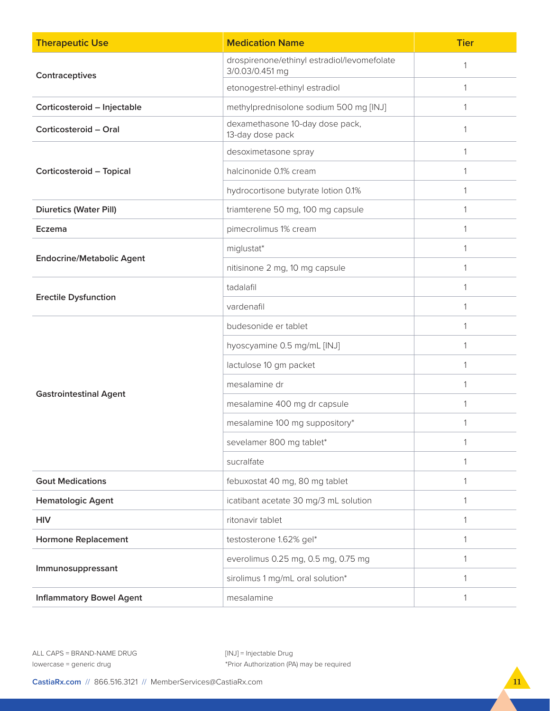| <b>Therapeutic Use</b>           | <b>Medication Name</b>                                         | <b>Tier</b>  |
|----------------------------------|----------------------------------------------------------------|--------------|
| Contraceptives                   | drospirenone/ethinyl estradiol/levomefolate<br>3/0.03/0.451 mg | 1            |
|                                  | etonogestrel-ethinyl estradiol                                 | 1            |
| Corticosteroid - Injectable      | methylprednisolone sodium 500 mg [INJ]                         | 1            |
| Corticosteroid - Oral            | dexamethasone 10-day dose pack,<br>13-day dose pack            | 1            |
|                                  | desoximetasone spray                                           | $\mathbf{1}$ |
| Corticosteroid - Topical         | halcinonide 0.1% cream                                         | $\mathbf{1}$ |
|                                  | hydrocortisone butyrate lotion 0.1%                            |              |
| <b>Diuretics (Water Pill)</b>    | triamterene 50 mg, 100 mg capsule                              | 1            |
| Eczema                           | pimecrolimus 1% cream                                          | $\mathbf{1}$ |
|                                  | miglustat*                                                     | 1            |
| <b>Endocrine/Metabolic Agent</b> | nitisinone 2 mg, 10 mg capsule                                 | $\mathbf{1}$ |
|                                  | tadalafil                                                      |              |
| <b>Erectile Dysfunction</b>      | vardenafil                                                     | 1            |
|                                  | budesonide er tablet                                           | $\mathbf{1}$ |
|                                  | hyoscyamine 0.5 mg/mL [INJ]                                    | 1            |
|                                  | lactulose 10 gm packet                                         | 1            |
|                                  | mesalamine dr                                                  |              |
| <b>Gastrointestinal Agent</b>    | mesalamine 400 mg dr capsule                                   |              |
|                                  | mesalamine 100 mg suppository*                                 | 1            |
|                                  | sevelamer 800 mg tablet*                                       | 1            |
|                                  | sucralfate                                                     | $\mathbf{1}$ |
| <b>Gout Medications</b>          | febuxostat 40 mg, 80 mg tablet                                 | 1            |
| <b>Hematologic Agent</b>         | icatibant acetate 30 mg/3 mL solution                          | 1            |
| <b>HIV</b>                       | ritonavir tablet                                               |              |
| <b>Hormone Replacement</b>       | testosterone 1.62% gel*                                        | 1            |
|                                  | everolimus 0.25 mg, 0.5 mg, 0.75 mg                            | $\mathbf{1}$ |
| Immunosuppressant                | sirolimus 1 mg/mL oral solution*                               | 1            |
| <b>Inflammatory Bowel Agent</b>  | mesalamine                                                     | 1            |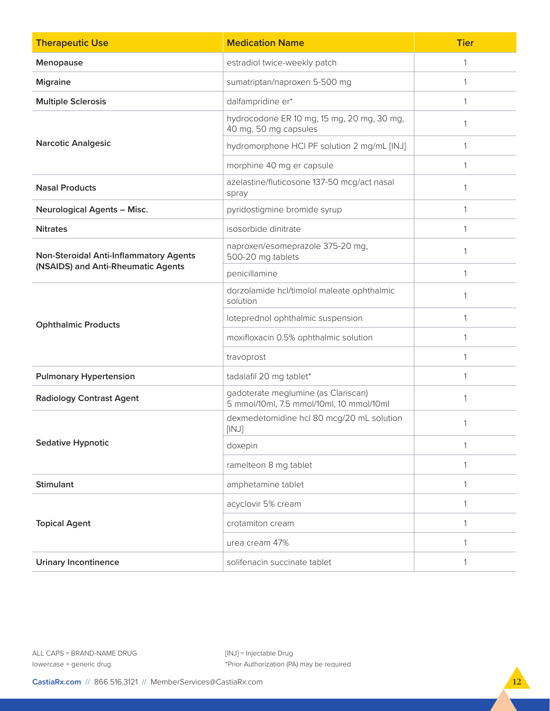| <b>Therapeutic Use</b>                        | <b>Medication Name</b>                                                          | <b>Tier</b>  |
|-----------------------------------------------|---------------------------------------------------------------------------------|--------------|
| Menopause                                     | estradiol twice-weekly patch                                                    | $\mathbf{1}$ |
| <b>Migraine</b>                               | sumatriptan/naproxen 5-500 mg                                                   |              |
| <b>Multiple Sclerosis</b>                     | dalfampridine er*                                                               | 1            |
|                                               | hydrocodone ER 10 mg, 15 mg, 20 mg, 30 mg,<br>40 mg, 50 mg capsules             | 1            |
| <b>Narcotic Analgesic</b>                     | hydromorphone HCI PF solution 2 mg/mL [INJ]                                     | 1            |
|                                               | morphine 40 mg er capsule                                                       | $\mathbf{1}$ |
| <b>Nasal Products</b>                         | azelastine/fluticosone 137-50 mcg/act nasal<br>spray                            | 1            |
| <b>Neurological Agents - Misc.</b>            | pyridostigmine bromide syrup                                                    | $\mathbf{1}$ |
| <b>Nitrates</b>                               | isosorbide dinitrate                                                            | $\mathbf{1}$ |
| <b>Non-Steroidal Anti-Inflammatory Agents</b> | naproxen/esomeprazole 375-20 mg,<br>500-20 mg tablets                           | $\mathbf{1}$ |
| (NSAIDS) and Anti-Rheumatic Agents            | penicillamine                                                                   | 1            |
|                                               | dorzolamide hcl/timolol maleate ophthalmic<br>solution                          | 1            |
| <b>Ophthalmic Products</b>                    | loteprednol ophthalmic suspension                                               | $\mathbf{1}$ |
|                                               | moxifloxacin 0.5% ophthalmic solution                                           | $\mathbf{1}$ |
|                                               | travoprost                                                                      | $\mathbf{1}$ |
| <b>Pulmonary Hypertension</b>                 | tadalafil 20 mg tablet*                                                         | 1            |
| <b>Radiology Contrast Agent</b>               | gadoterate meglumine (as Clariscan)<br>5 mmol/10ml, 7.5 mmol/10ml, 10 mmol/10ml | $\mathbf{1}$ |
|                                               | dexmedetomidine hcl 80 mcg/20 mL solution<br>[INJ]                              |              |
| <b>Sedative Hypnotic</b>                      | doxepin                                                                         | $\mathbf{1}$ |
|                                               | ramelteon 8 mg tablet                                                           |              |
| <b>Stimulant</b>                              | amphetamine tablet                                                              | $\mathbf{1}$ |
|                                               | acyclovir 5% cream                                                              | 1            |
| <b>Topical Agent</b>                          | crotamiton cream                                                                | $\mathbf{1}$ |
|                                               | urea cream 47%                                                                  | $\mathbf{1}$ |
| <b>Urinary Incontinence</b>                   | solifenacin succinate tablet                                                    |              |